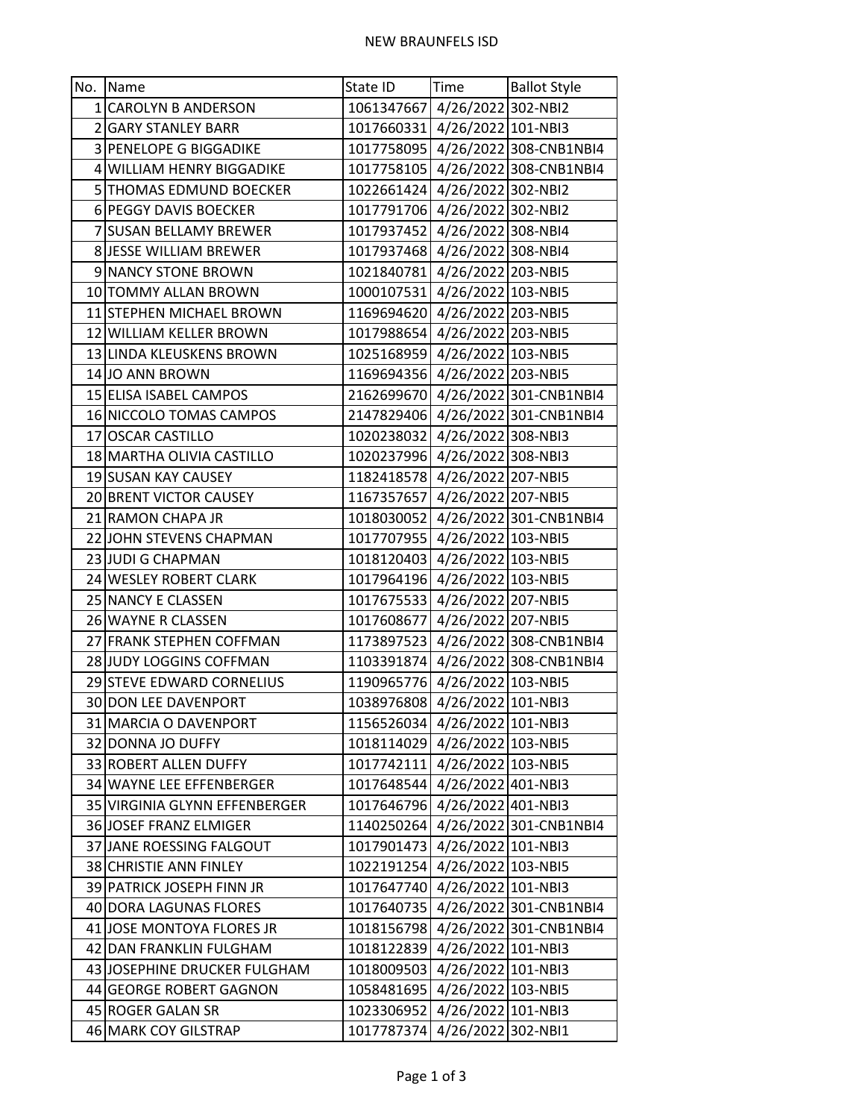| No. | Name                          | State ID                      | Time               | <b>Ballot Style</b>               |
|-----|-------------------------------|-------------------------------|--------------------|-----------------------------------|
|     | 1 CAROLYN B ANDERSON          | 1061347667 4/26/2022 302-NBI2 |                    |                                   |
|     | 2 GARY STANLEY BARR           | 1017660331 4/26/2022 101-NBI3 |                    |                                   |
|     | 3 PENELOPE G BIGGADIKE        |                               |                    | 1017758095 4/26/2022 308-CNB1NBI4 |
|     | 4 WILLIAM HENRY BIGGADIKE     |                               |                    | 1017758105 4/26/2022 308-CNB1NBI4 |
|     | 5 THOMAS EDMUND BOECKER       | 1022661424 4/26/2022 302-NBI2 |                    |                                   |
|     | 6 PEGGY DAVIS BOECKER         | 1017791706 4/26/2022 302-NBI2 |                    |                                   |
|     | 7 SUSAN BELLAMY BREWER        | 1017937452 4/26/2022 308-NBI4 |                    |                                   |
|     | 8 JESSE WILLIAM BREWER        | 1017937468 4/26/2022 308-NBI4 |                    |                                   |
|     | 9 NANCY STONE BROWN           | 1021840781 4/26/2022 203-NBI5 |                    |                                   |
|     | 10 TOMMY ALLAN BROWN          | 1000107531 4/26/2022 103-NBI5 |                    |                                   |
|     | 11 STEPHEN MICHAEL BROWN      | 1169694620 4/26/2022 203-NBI5 |                    |                                   |
|     | 12 WILLIAM KELLER BROWN       | 1017988654 4/26/2022 203-NBI5 |                    |                                   |
|     | 13 LINDA KLEUSKENS BROWN      | 1025168959 4/26/2022 103-NBI5 |                    |                                   |
|     | 14 JO ANN BROWN               | 1169694356 4/26/2022 203-NBI5 |                    |                                   |
|     | 15 ELISA ISABEL CAMPOS        |                               |                    | 2162699670 4/26/2022 301-CNB1NBI4 |
|     | 16 NICCOLO TOMAS CAMPOS       |                               |                    | 2147829406 4/26/2022 301-CNB1NBI4 |
|     | 17 OSCAR CASTILLO             | 1020238032 4/26/2022 308-NBI3 |                    |                                   |
|     | 18 MARTHA OLIVIA CASTILLO     | 1020237996 4/26/2022 308-NBI3 |                    |                                   |
|     | 19 SUSAN KAY CAUSEY           | 1182418578 4/26/2022 207-NBI5 |                    |                                   |
|     | 20 BRENT VICTOR CAUSEY        | 1167357657 4/26/2022 207-NBI5 |                    |                                   |
|     | 21 RAMON CHAPA JR             |                               |                    | 1018030052 4/26/2022 301-CNB1NBI4 |
|     | 22 JOHN STEVENS CHAPMAN       | 1017707955 4/26/2022 103-NBI5 |                    |                                   |
|     | 23 JUDI G CHAPMAN             | 1018120403 4/26/2022 103-NBI5 |                    |                                   |
|     | 24 WESLEY ROBERT CLARK        | 1017964196 4/26/2022 103-NBI5 |                    |                                   |
|     | 25 NANCY E CLASSEN            | 1017675533 4/26/2022 207-NBI5 |                    |                                   |
|     | 26 WAYNE R CLASSEN            | 1017608677 4/26/2022 207-NBI5 |                    |                                   |
|     | 27 FRANK STEPHEN COFFMAN      |                               |                    | 1173897523 4/26/2022 308-CNB1NBI4 |
|     | 28 JUDY LOGGINS COFFMAN       |                               |                    | 1103391874 4/26/2022 308-CNB1NBI4 |
|     | 29 STEVE EDWARD CORNELIUS     | 1190965776 4/26/2022 103-NBI5 |                    |                                   |
|     | 30 DON LEE DAVENPORT          | 1038976808 4/26/2022 101-NBI3 |                    |                                   |
|     | 31 MARCIA O DAVENPORT         | 1156526034 4/26/2022 101-NBI3 |                    |                                   |
|     | 32 DONNA JO DUFFY             | 1018114029 4/26/2022 103-NBI5 |                    |                                   |
|     | 33 ROBERT ALLEN DUFFY         | 1017742111                    | 4/26/2022 103-NBI5 |                                   |
|     | 34 WAYNE LEE EFFENBERGER      | 1017648544                    | 4/26/2022 401-NBI3 |                                   |
|     | 35 VIRGINIA GLYNN EFFENBERGER | 1017646796 4/26/2022 401-NBI3 |                    |                                   |
|     | 36 JOSEF FRANZ ELMIGER        |                               |                    | 1140250264 4/26/2022 301-CNB1NBI4 |
|     | 37 JANE ROESSING FALGOUT      | 1017901473 4/26/2022 101-NBI3 |                    |                                   |
|     | 38 CHRISTIE ANN FINLEY        | 1022191254                    | 4/26/2022 103-NBI5 |                                   |
|     | 39 PATRICK JOSEPH FINN JR     | 1017647740 4/26/2022 101-NBI3 |                    |                                   |
|     | 40 DORA LAGUNAS FLORES        |                               |                    | 1017640735 4/26/2022 301-CNB1NBI4 |
|     | 41 JOSE MONTOYA FLORES JR     |                               |                    | 1018156798 4/26/2022 301-CNB1NBI4 |
|     | 42 DAN FRANKLIN FULGHAM       | 1018122839                    | 4/26/2022 101-NBI3 |                                   |
|     | 43 JOSEPHINE DRUCKER FULGHAM  | 1018009503                    | 4/26/2022 101-NBI3 |                                   |
|     | 44 GEORGE ROBERT GAGNON       | 1058481695 4/26/2022 103-NBI5 |                    |                                   |
|     | 45 ROGER GALAN SR             | 1023306952 4/26/2022 101-NBI3 |                    |                                   |
|     | 46 MARK COY GILSTRAP          | 1017787374                    | 4/26/2022 302-NBI1 |                                   |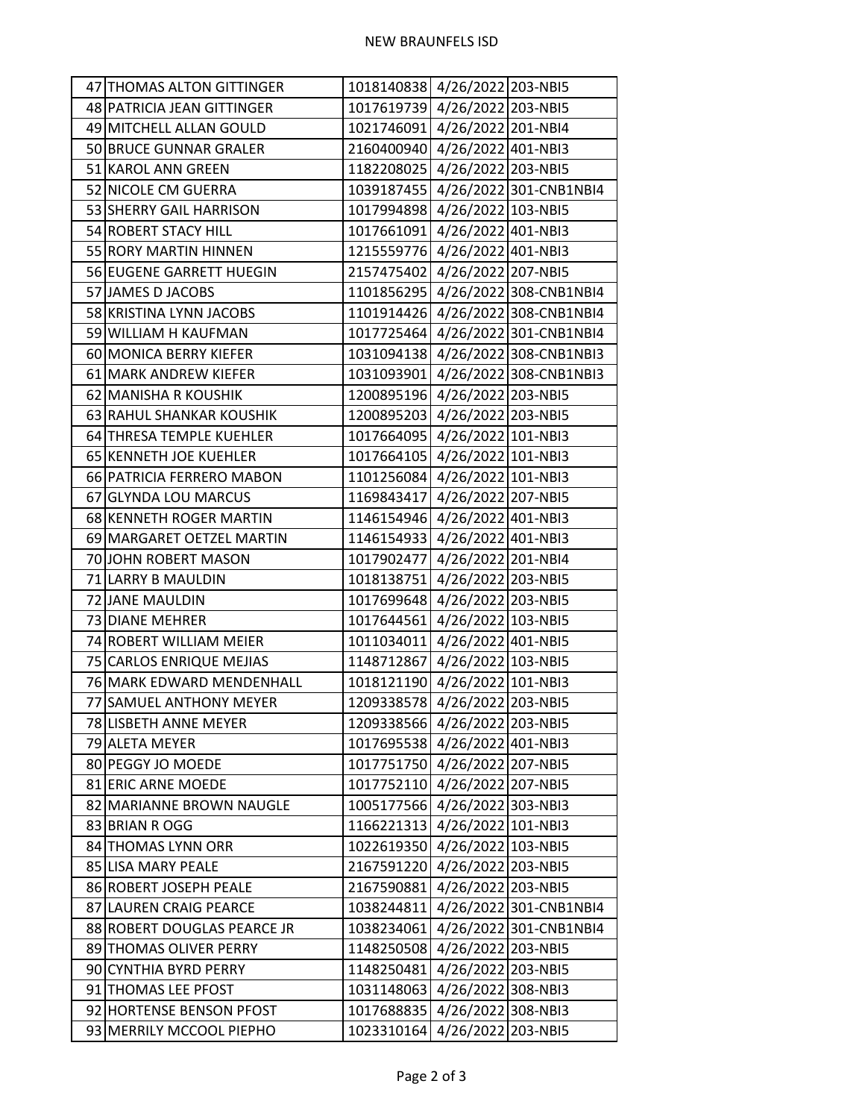| 47 THOMAS ALTON GITTINGER   | 1018140838 4/26/2022 203-NBI5 |                                   |
|-----------------------------|-------------------------------|-----------------------------------|
| 48 PATRICIA JEAN GITTINGER  | 1017619739 4/26/2022 203-NBI5 |                                   |
| 49 MITCHELL ALLAN GOULD     | 1021746091 4/26/2022 201-NBI4 |                                   |
| 50 BRUCE GUNNAR GRALER      | 2160400940 4/26/2022 401-NBI3 |                                   |
| 51 KAROL ANN GREEN          | 1182208025 4/26/2022 203-NBI5 |                                   |
| 52 NICOLE CM GUERRA         |                               | 1039187455 4/26/2022 301-CNB1NBI4 |
| 53 SHERRY GAIL HARRISON     | 1017994898 4/26/2022 103-NBI5 |                                   |
| 54 ROBERT STACY HILL        | 1017661091 4/26/2022 401-NBI3 |                                   |
| 55 RORY MARTIN HINNEN       | 1215559776 4/26/2022 401-NBI3 |                                   |
| 56 EUGENE GARRETT HUEGIN    | 2157475402 4/26/2022 207-NBI5 |                                   |
| 57 JAMES D JACOBS           |                               | 1101856295 4/26/2022 308-CNB1NBI4 |
| 58 KRISTINA LYNN JACOBS     |                               | 1101914426 4/26/2022 308-CNB1NBI4 |
| 59 WILLIAM H KAUFMAN        |                               | 1017725464 4/26/2022 301-CNB1NBI4 |
| 60 MONICA BERRY KIEFER      |                               | 1031094138 4/26/2022 308-CNB1NBI3 |
| 61 MARK ANDREW KIEFER       |                               | 1031093901 4/26/2022 308-CNB1NBI3 |
| 62 MANISHA R KOUSHIK        | 1200895196 4/26/2022 203-NBI5 |                                   |
| 63 RAHUL SHANKAR KOUSHIK    | 1200895203 4/26/2022 203-NBI5 |                                   |
| 64 THRESA TEMPLE KUEHLER    | 1017664095 4/26/2022 101-NBI3 |                                   |
| 65 KENNETH JOE KUEHLER      | 1017664105 4/26/2022 101-NBI3 |                                   |
| 66 PATRICIA FERRERO MABON   | 1101256084 4/26/2022 101-NBI3 |                                   |
| 67 GLYNDA LOU MARCUS        | 1169843417 4/26/2022 207-NBI5 |                                   |
| 68 KENNETH ROGER MARTIN     | 1146154946 4/26/2022 401-NBI3 |                                   |
| 69 MARGARET OETZEL MARTIN   | 1146154933 4/26/2022 401-NBI3 |                                   |
| 70 JOHN ROBERT MASON        | 1017902477 4/26/2022 201-NBI4 |                                   |
| 71 LARRY B MAULDIN          | 1018138751 4/26/2022 203-NBI5 |                                   |
| 72 JANE MAULDIN             | 1017699648 4/26/2022 203-NBI5 |                                   |
| 73 DIANE MEHRER             | 1017644561 4/26/2022 103-NBI5 |                                   |
| 74 ROBERT WILLIAM MEIER     | 1011034011 4/26/2022 401-NBI5 |                                   |
| 75 CARLOS ENRIQUE MEJIAS    | 1148712867 4/26/2022 103-NBI5 |                                   |
| 76 MARK EDWARD MENDENHALL   | 1018121190 4/26/2022 101-NBI3 |                                   |
| 77 SAMUEL ANTHONY MEYER     | 1209338578 4/26/2022 203-NBI5 |                                   |
| 78 LISBETH ANNE MEYER       | 1209338566 4/26/2022 203-NBI5 |                                   |
| 79 ALETA MEYER              | 1017695538 4/26/2022 401-NBI3 |                                   |
| 80 PEGGY JO MOEDE           | 1017751750 4/26/2022 207-NBI5 |                                   |
| 81 ERIC ARNE MOEDE          | 1017752110 4/26/2022 207-NBI5 |                                   |
| 82 MARIANNE BROWN NAUGLE    | 1005177566 4/26/2022 303-NBI3 |                                   |
| 83 BRIAN R OGG              | 1166221313 4/26/2022 101-NBI3 |                                   |
| 84 THOMAS LYNN ORR          | 1022619350 4/26/2022 103-NBI5 |                                   |
| 85 LISA MARY PEALE          | 2167591220 4/26/2022 203-NBI5 |                                   |
| 86 ROBERT JOSEPH PEALE      | 2167590881 4/26/2022 203-NBI5 |                                   |
| 87 LAUREN CRAIG PEARCE      |                               | 1038244811 4/26/2022 301-CNB1NBI4 |
| 88 ROBERT DOUGLAS PEARCE JR |                               | 1038234061 4/26/2022 301-CNB1NBI4 |
| 89 THOMAS OLIVER PERRY      | 1148250508 4/26/2022 203-NBI5 |                                   |
| 90 CYNTHIA BYRD PERRY       | 1148250481 4/26/2022 203-NBI5 |                                   |
| 91 THOMAS LEE PFOST         | 1031148063 4/26/2022 308-NBI3 |                                   |
| 92 HORTENSE BENSON PFOST    | 1017688835 4/26/2022 308-NBI3 |                                   |
| 93 MERRILY MCCOOL PIEPHO    | 1023310164 4/26/2022 203-NBI5 |                                   |